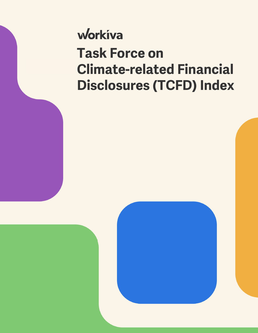## workiva **Task Force on Climate-related Financial Disclosures (TCFD) Index**

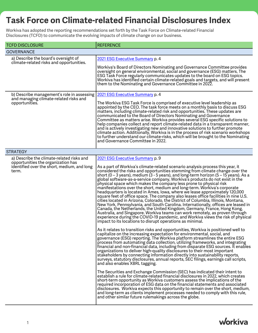## **Task Force on Climate-related Financial Disclosures Index**

Workiva has adopted the reporting recommendations set forth by the Task Force on Climate-related Financial Disclosures (TCFD) to communicate the evolving impacts of climate change on our business.

| <b>TCFD DISCLOSURE</b>                                                                                                                  | <b>REFERENCE</b>                                                                                                                                                                                                                                                                                                                                                                                                                                                                                                                                                                                                                                                                                                                                                                                                                                                                                                                                                                                                                                                                                                                                                                                                                                                                                                                                                                                                                                                                                                                                                                                                                                                                                                                                                                                                                                                                                                                                                                                                                                                                                                                                                                                                                                                                                                                                                                                                                                                        |
|-----------------------------------------------------------------------------------------------------------------------------------------|-------------------------------------------------------------------------------------------------------------------------------------------------------------------------------------------------------------------------------------------------------------------------------------------------------------------------------------------------------------------------------------------------------------------------------------------------------------------------------------------------------------------------------------------------------------------------------------------------------------------------------------------------------------------------------------------------------------------------------------------------------------------------------------------------------------------------------------------------------------------------------------------------------------------------------------------------------------------------------------------------------------------------------------------------------------------------------------------------------------------------------------------------------------------------------------------------------------------------------------------------------------------------------------------------------------------------------------------------------------------------------------------------------------------------------------------------------------------------------------------------------------------------------------------------------------------------------------------------------------------------------------------------------------------------------------------------------------------------------------------------------------------------------------------------------------------------------------------------------------------------------------------------------------------------------------------------------------------------------------------------------------------------------------------------------------------------------------------------------------------------------------------------------------------------------------------------------------------------------------------------------------------------------------------------------------------------------------------------------------------------------------------------------------------------------------------------------------------------|
| <b>GOVERNANCE</b>                                                                                                                       |                                                                                                                                                                                                                                                                                                                                                                                                                                                                                                                                                                                                                                                                                                                                                                                                                                                                                                                                                                                                                                                                                                                                                                                                                                                                                                                                                                                                                                                                                                                                                                                                                                                                                                                                                                                                                                                                                                                                                                                                                                                                                                                                                                                                                                                                                                                                                                                                                                                                         |
| a) Describe the board's oversight of<br>climate-related risks and opportunities.                                                        | 2021 ESG Executive Summary p. 4<br>Workiva's Board of Directors Nominating and Governance Committee provides<br>oversight on general environmental, social and governance (ESG) matters. The<br>ESG Task Force regularly communicates updates to the board on ESG topics.<br>Workiva has identified certain climate-related goals and targets, and will present<br>them to the Nominating and Governance Committee in 2022.                                                                                                                                                                                                                                                                                                                                                                                                                                                                                                                                                                                                                                                                                                                                                                                                                                                                                                                                                                                                                                                                                                                                                                                                                                                                                                                                                                                                                                                                                                                                                                                                                                                                                                                                                                                                                                                                                                                                                                                                                                             |
| b) Describe management's role in assessing<br>and managing climate-related risks and<br>opportunities.                                  | 2021 ESG Executive Summary p. 4<br>The Workiva ESG Task Force is comprised of executive level leadership as<br>appointed by the CEO. The task force meets on a monthly basis to discuss ESG<br>matters, including climate-related risk and opportunities. These updates are<br>communicated to the Board of Directors Nominating and Governance<br>Committee as matters arise. Workiva provides several ESG specific solutions to<br>help companies collect and report climate-related data in a transparent manner,<br>and is actively investigating new and innovative solutions to further promote<br>climate action. Additionally, Workiva is in the process of risk scenario workshops<br>to further understand our climate-risks, which will be brought to the Nominating<br>and Governance Committee in 2022.                                                                                                                                                                                                                                                                                                                                                                                                                                                                                                                                                                                                                                                                                                                                                                                                                                                                                                                                                                                                                                                                                                                                                                                                                                                                                                                                                                                                                                                                                                                                                                                                                                                    |
| <b>STRATEGY</b>                                                                                                                         |                                                                                                                                                                                                                                                                                                                                                                                                                                                                                                                                                                                                                                                                                                                                                                                                                                                                                                                                                                                                                                                                                                                                                                                                                                                                                                                                                                                                                                                                                                                                                                                                                                                                                                                                                                                                                                                                                                                                                                                                                                                                                                                                                                                                                                                                                                                                                                                                                                                                         |
| a) Describe the climate-related risks and<br>opportunities the organization has<br>identified over the short, medium, and long<br>term. | 2021 ESG Executive Summary p. 9<br>As a part of Workiva's climate-related scenario analysis process this year, it<br>considered the risks and opportunities stemming from climate change over the<br>short (0 – 3 years), medium (3 - 5 years), and long-term horizon (5 – 15 years). As a<br>global software-as-a-service company, Workiva's products do not exist in the<br>physical space which makes the company less prone to physical risk<br>manifestations over the short, medium and long-term. Workiva's corporate<br>headquarters is located in Ames, Iowa, where we lease approximately 120,000<br>square feet of office space. The company also leases office facilities in nine U.S.<br>cities located in Arizona, Colorado, the District of Columbia, Illinois, Montana,<br>New York, Pennsylvania, and South Carolina. Internationally, offices are leased in<br>Canada, the Netherlands, the United Kingdom, Germany, France, Hong Kong,<br>Australia, and Singapore. Workiva teams can work remotely, as proven through<br>experience during the COVID-19 pandemic, and Workiva views the risk of physical<br>impact to its locations to disrupt operations as minimal.<br>As it relates to transition risks and opportunities, Workiva is positioned well to<br>capitalize on the increasing expectation for environmental, social, and<br>governance (ESG) reporting. The Workiva platform streamlines the entire ESG<br>process from automating data collection, utilizing frameworks, and integrating<br>financial and non-financial data, including from disparate ESG sources. It enables<br>organizations to deliver high-quality disclosures to their most important<br>stakeholders by connecting information directly into sustainability reports,<br>surveys, statutory disclosures, annual reports, SEC filings, earnings call scripts,<br>and also enables XBRL tagging.<br>The Securities and Exchange Commission (SEC) has indicated their intent to<br>establish a rule for climate-related financial disclosures in 2022, which creates<br>short-term opportunity as Workiva customers assess the implications of the<br>required incorporation of ESG data on the financial statements and associated<br>disclosures. Workiva expects this opportunity to remain over the short, medium,<br>and long-term as clients implement processes needed to comply with this rule,<br>and other similar future rulemakings across the globe. |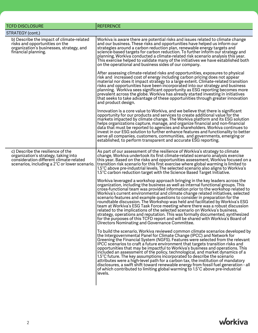| <b>TCFD DISCLOSURE</b>                                                                                                                                                | <b>REFERENCE</b>                                                                                                                                                                                                                                                                                                                                                                                                                                                                                                                                                                                                                                                                                                                                                                                                                                                                             |
|-----------------------------------------------------------------------------------------------------------------------------------------------------------------------|----------------------------------------------------------------------------------------------------------------------------------------------------------------------------------------------------------------------------------------------------------------------------------------------------------------------------------------------------------------------------------------------------------------------------------------------------------------------------------------------------------------------------------------------------------------------------------------------------------------------------------------------------------------------------------------------------------------------------------------------------------------------------------------------------------------------------------------------------------------------------------------------|
| STRATEGY (cont.)                                                                                                                                                      |                                                                                                                                                                                                                                                                                                                                                                                                                                                                                                                                                                                                                                                                                                                                                                                                                                                                                              |
| b) Describe the impact of climate-related<br>risks and opportunities on the<br>organization's businesses, strategy, and<br>financial planning.                        | Workiva is aware there are potential risks and issues related to climate change<br>and our business. These risks and opportunities have helped us inform our<br>strategies around a carbon reduction plan, renewable energy targets and<br>science-based targets for carbon reduction. To further inform our strategy and<br>planning, Workiva conducted a climate-related risk scenario analysis this year.<br>This exercise helped to validate many of the initiatives we have established both<br>on the operational and business sides of our company.                                                                                                                                                                                                                                                                                                                                   |
|                                                                                                                                                                       | After assessing climate-related risks and opportunities, exposures to physical<br>risk and increased cost of energy including carbon pricing does not appear<br>material nor does it impact strategy to a large extent. Climate-related transition<br>risks and opportunities have been incorporated into our strategy and business<br>planning. Workiva sees significant opportunity as ESG reporting becomes more<br>prevalent across the globe. Workiva has already started investing in initiatives<br>that seeks to take advantage of these opportunities through greater innovation<br>and product design.                                                                                                                                                                                                                                                                             |
|                                                                                                                                                                       | Innovation is a core value to Workiva, and we believe that there is significant<br>opportunity for our products and services to create additional value for the<br>markets impacted by climate change. The Workiva platform and its ESG solution<br>helps organizations capture, manage, and organize financial and non-financial<br>data that must be reported to agencies and shareholders. Workiva continues to<br>invest in our ESG solution to further enhance features and functionality to better<br>serve all companies, customers, communities, and governments, emerging or<br>established, to perform transparent and accurate ESG reporting.                                                                                                                                                                                                                                     |
| c) Describe the resilience of the<br>organization's strategy, taking into<br>consideration different climate-related<br>scenarios, including a 2°C or lower scenario. | As part of our assessment of the resilience of Workiva's strategy to climate<br>change, Workiva undertook its first climate-related scenario analysis exercise<br>this year. Based on the risks and opportunities assessment, Workiva focused on a<br>transition risk scenario for this first exercise where global warming is limited to<br>1.5°C above pre-industrial levels. The selected scenario also aligns to Workiva's<br>1.5°C carbon reduction target with the Science Based Target Initiative.                                                                                                                                                                                                                                                                                                                                                                                    |
|                                                                                                                                                                       | Workiva leveraged a workshop approach bringing in the key leaders across the<br>organization, including the business as well as internal functional groups. This<br>cross-functional team was provided information prior to the workshop related to<br>Workiva's current environmental and climate change related initiatives, selected<br>scenario features and example questions to consider in preparation for the<br>roundtable discussion. The Workshop was held and facilitated by Workiva's ESG<br>team at Workiva's ESG Task Force meeting where there was a robust discussion<br>related to the implications of the selected scenario on Workiva's business,<br>strategy, operations and reputation. This was formally documented, synthesized<br>for the purposes of this TCFD report and will be shared with Workiva's Board of<br>Directors Nominating and Governance Committee. |
|                                                                                                                                                                       | To build the scenario, Workiva reviewed common climate scenarios developed by<br>the Intergovernmental Panel for Climate Change (IPCC) and Network for<br>Greening the Financial System (NGFS). Features were selected from the relevant<br>IPCC scenarios to craft a future environment that targets transition risks and<br>opportunities that may be impactful to Workiva's business and operations. This<br>included an assessment of the policy, technological, and market dynamics of a<br>1.5°C future. The key assumptions incorporated to describe the scenario<br>attributes were a high-level path for a carbon tax, the institution of mandatory<br>disclosures, a swift shift toward renewable energy from fossil fuel generation - all<br>of which contributed to limiting global warming to 1.5°C above pre-industrial<br>levels.                                             |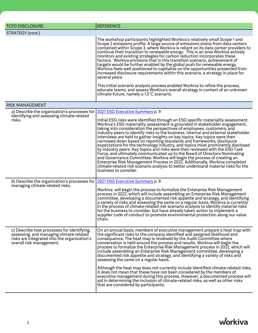| <b>TCFD DISCLOSURE</b>                                                                                                                                            | <b>REFERENCE</b>                                                                                                                                                                                                                                                                                                                                                                                                                                                                                                                                                                                                                                                                                                                                                                                                                                                                                                                                                                                                    |
|-------------------------------------------------------------------------------------------------------------------------------------------------------------------|---------------------------------------------------------------------------------------------------------------------------------------------------------------------------------------------------------------------------------------------------------------------------------------------------------------------------------------------------------------------------------------------------------------------------------------------------------------------------------------------------------------------------------------------------------------------------------------------------------------------------------------------------------------------------------------------------------------------------------------------------------------------------------------------------------------------------------------------------------------------------------------------------------------------------------------------------------------------------------------------------------------------|
| STRATEGY (cont.)                                                                                                                                                  |                                                                                                                                                                                                                                                                                                                                                                                                                                                                                                                                                                                                                                                                                                                                                                                                                                                                                                                                                                                                                     |
|                                                                                                                                                                   | The workshop participants highlighted Workiva's relatively small Scope 1 and<br>Scope 2 emissions profile. A large source of emissions stems from data centers<br>contained within Scope 3, where Workiva is reliant on its data center providers to<br>continue their transition to renewable energy. This is an area Workiva actively<br>monitors and existing strategies for carbon reduction incorporates these<br>factors. Workiva envisions that in this transition scenario, achievement of<br>targets would be further enabled by the global push for renewable energy.<br>Workiva feels well positioned to capitalize on the opportunities presented from<br>increased disclosure requirements within this scenario, a strategy in place for<br>several years.<br>This initial scenario analysis process enabled Workiva to refine the process,<br>educate teams, and assess Workiva's overall strategy in context of an unknown<br>climate-future, namely a 1.5°C scenario.                               |
|                                                                                                                                                                   |                                                                                                                                                                                                                                                                                                                                                                                                                                                                                                                                                                                                                                                                                                                                                                                                                                                                                                                                                                                                                     |
| <b>RISK MANAGEMENT</b>                                                                                                                                            |                                                                                                                                                                                                                                                                                                                                                                                                                                                                                                                                                                                                                                                                                                                                                                                                                                                                                                                                                                                                                     |
| a) Describe the organization's processes for<br>identifying and assessing climate-related<br>risks.                                                               | 2021 ESG Executive Summary p. 9                                                                                                                                                                                                                                                                                                                                                                                                                                                                                                                                                                                                                                                                                                                                                                                                                                                                                                                                                                                     |
|                                                                                                                                                                   | Initial ESG risks were identified through an ESG specific materiality assessment.<br>Workiva's ESG materiality assessment is grounded in stakeholder engagement,<br>taking into consideration the perspectives of employees, customers, and<br>industry peers to identify risks to the business. Internal and external stakeholder<br>interviews are held to gather insights on key topics. Key topics were then<br>narrowed down based on reporting standards and frameworks, disclosure<br>expectations for the technology industry, and topics most prominently disclosed<br>by industry peers. Key topics and risks were then reviewed with the ESG Task<br>Force, and ultimately communicated up to the Board of Directors Nominating<br>and Governance Committee. Workiva will begin the process of creating an<br>Enterprise Risk Management Process in 2022. Additionally, Workiva completed<br>climate-related risk scenario analysis to better understand material risks for the<br>business to consider. |
| b) Describe the organization's processes for                                                                                                                      | 2021 ESG Executive Summary p. 9                                                                                                                                                                                                                                                                                                                                                                                                                                                                                                                                                                                                                                                                                                                                                                                                                                                                                                                                                                                     |
| managing climate-related risks.                                                                                                                                   | Workiva will begin the process to formalize the Enterprise Risk Management<br>process in 2022, which will include assembling an Enterprise Risk Management<br>committee, developing a documented risk appetite and strategy, and identifying<br>a variety of risks and assessing the same on a regular basis. Workiva is currently<br>in the process of climate-related risk scenario analysis to identify material risks<br>for the business to consider, but have already taken action to implement a<br>supplier code of conduct to promote environmental protection along our value<br>chain.                                                                                                                                                                                                                                                                                                                                                                                                                   |
| c) Describe how processes for identifying,<br>assessing, and managing climate-related<br>risks are integrated into the organization's<br>overall risk management. | On an annual basis, members of executive management prepare a heat map with<br>the significant risks to the company identified and assigned likelihood and<br>consequence. The heat map is reviewed by the Audit Committee where<br>conversation is held around the process and results. Workiva will begin the<br>process to formalize the Enterprise Risk Management process in 2022, which will<br>include assembling an Enterprise Risk Management committee, developing a<br>documented risk appetite and strategy, and identifying a variety of risks and<br>assessing the same on a regular basis.<br>Although the heat map does not currently include identified climate-related risks,<br>it does not mean that these have not been considered by the members of<br>executive management during this process. However, a documented process will<br>aid in determining the inclusion of climate-related risks, as well as other risks                                                                      |
|                                                                                                                                                                   | that are considered by participants.                                                                                                                                                                                                                                                                                                                                                                                                                                                                                                                                                                                                                                                                                                                                                                                                                                                                                                                                                                                |